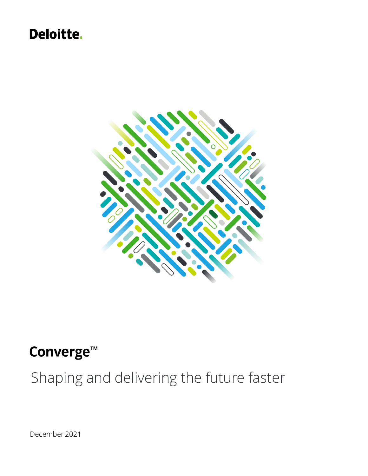# **Deloitte.**



# Converge<sup>™</sup>

Shaping and delivering the future faster

December 2021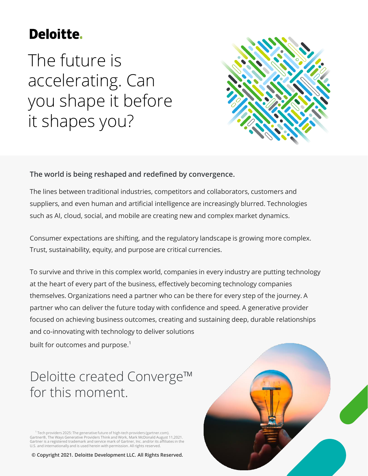# **Deloitte.**

The future is accelerating. Can you shape it before it shapes you?



## **The world is being reshaped and redefined by convergence.**

The lines between traditional industries, competitors and collaborators, customers and suppliers, and even human and artificial intelligence are increasingly blurred. Technologies such as AI, cloud, social, and mobile are creating new and complex market dynamics.

Consumer expectations are shifting, and the regulatory landscape is growing more complex. Trust, sustainability, equity, and purpose are critical currencies.

To survive and thrive in this complex world, companies in every industry are putting technology at the heart of every part of the business, effectively becoming technology companies themselves. Organizations need a partner who can be there for every step of the journey. A partner who can deliver the future today with confidence and speed. A generative provider focused on achieving business outcomes, creating and sustaining deep, durable relationships and co-innovating with technology to deliver solutions built for outcomes and purpose.<sup>1</sup>

# Deloitte created Converge™ for this moment.

<sup>1</sup> Tech providers 2025: The generative future of high-tech providers (gartner.com). Gartner®, The Ways Generative Providers Think and Work, Mark McDonald August 11,2021. Gartner is a registered trademark and service mark of Gartner, Inc. and/or its affiliates in the U.S. and internationally and is used herein with permission. All rights reserved.

**© Copyright 2021. Deloitte Development LLC. All Rights Reserved.**

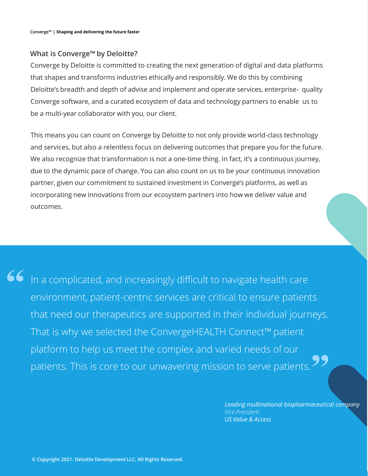### **What is Converge™ by Deloitte?**

Converge by Deloitte is committed to creating the next generation of digital and data platforms that shapes and transforms industries ethically and responsibly. We do this by combining Deloitte's breadth and depth of advise and implement and operate services, enterprise- quality Converge software, and a curated ecosystem of data and technology partners to enable us to be a multi-year collaborator with you, our client.

This means you can count on Converge by Deloitte to not only provide world-class technology and services, but also a relentless focus on delivering outcomes that prepare you for the future. We also recognize that transformation is not a one-time thing. In fact, it's a continuous journey, due to the dynamic pace of change. You can also count on us to be your continuous innovation partner, given our commitment to sustained investment in Converge's platforms, as well as incorporating new innovations from our ecosystem partners into how we deliver value and outcomes.

In a complicated, and increasingly difficult to navigate health care environment, patient-centric services are critical to ensure patients that need our therapeutics are supported in their individual journeys. That is why we selected the ConvergeHEALTH Connect™ patient platform to help us meet the complex and varied needs of our patients. This is core to our unwavering mission to serve patients. 22

> *Leading multinational biopharmaceutical company Vice President US Value & Access*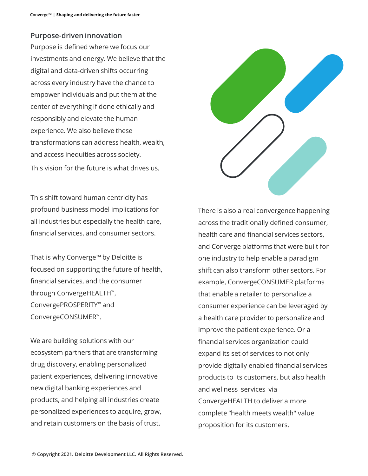### **Purpose-driven innovation**

Purpose is defined where we focus our investments and energy. We believe that the digital and data-driven shifts occurring across every industry have the chance to empower individuals and put them at the center of everything if done ethically and responsibly and elevate the human experience. We also believe these transformations can address health, wealth, and access inequities across society. This vision for the future is what drives us.

This shift toward human centricity has profound business model implications for all industries but especially the health care, financial services, and consumer sectors.

That is why Converge™ by Deloitte is focused on supporting the future of health, financial services, and the consumer through ConvergeHEALTH™, ConvergePROSPERITY™ and ConvergeCONSUMER™.

We are building solutions with our ecosystem partners that are transforming drug discovery, enabling personalized patient experiences, delivering innovative new digital banking experiences and products, and helping all industries create personalized experiences to acquire, grow, and retain customers on the basis of trust.



There is also a real convergence happening across the traditionally defined consumer, health care and financial services sectors, and Converge platforms that were built for one industry to help enable a paradigm shift can also transform other sectors. For example, ConvergeCONSUMER platforms that enable a retailer to personalize a consumer experience can be leveraged by a health care provider to personalize and improve the patient experience. Or a financial services organization could expand its set of services to not only provide digitally enabled financial services products to its customers, but also health and wellness services via ConvergeHEALTH to deliver a more complete "health meets wealth" value proposition for its customers.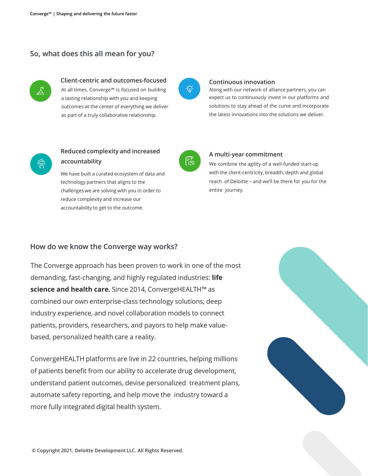### **So, what does this all mean for you?**



### **Client-centric and outcomes-focused**

At all times, Converge™ is focused on building a lasting relationship with you and keeping outcomes at the center of everything we deliver as part of a truly collaborative relationship.



#### **Continuous innovation**

Along with our network of alliance partners, you can expect us to continuously invest in our platforms and solutions to stay ahead of the curve and incorporate the latest innovations into the solutions we deliver.



### **Reduced complexity and increased accountability**

We have built a curated ecosystem of data and technology partners that aligns to the challenges we are solving with you in order to reduce complexity and increase our accountability to get to the outcome.



#### **A multi-year commitment**

We combine the agility of a well-funded start-up with the client-centricity, breadth, depth and global reach of Deloitte – and we'll be there for you for the entire journey.

#### **How do we know the Converge way works?**

The Converge approach has been proven to work in one of the most demanding, fast-changing, and highly regulated industries: **life science and health care.** Since 2014, ConvergeHEALTH™ as combined our own enterprise-class technology solutions, deep industry experience, and novel collaboration models to connect patients, providers, researchers, and payors to help make valuebased, personalized health care a reality.

ConvergeHEALTH platforms are live in 22 countries, helping millions of patients benefit from our ability to accelerate drug development, understand patient outcomes, devise personalized treatment plans, automate safety reporting, and help move the industry toward a more fully integrated digital health system.

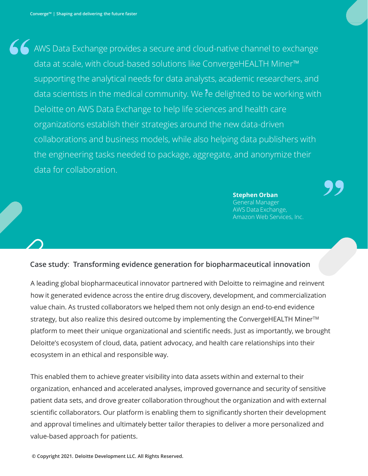AWS Data Exchange provides a secure and cloud-native channel to exchange data at scale, with cloud-based solutions like ConvergeHEALTH Miner™ supporting the analytical needs for data analysts, academic researchers, and data scientists in the medical community. We re delighted to be working with Deloitte on AWS Data Exchange to help life sciences and health care organizations establish their strategies around the new data-driven collaborations and business models, while also helping data publishers with the engineering tasks needed to package, aggregate, and anonymize their data for collaboration.

**Stephen Orban** 

General Manager AWS Data Exchange, Amazon Web Services, Inc.

#### **Case study**: **Transforming evidence generation for biopharmaceutical innovation**

A leading global biopharmaceutical innovator partnered with Deloitte to reimagine and reinvent how it generated evidence across the entire drug discovery, development, and commercialization value chain. As trusted collaborators we helped them not only design an end-to-end evidence strategy, but also realize this desired outcome by implementing the ConvergeHEALTH Miner<sup>™</sup> platform to meet their unique organizational and scientific needs. Just as importantly, we brought Deloitte's ecosystem of cloud, data, patient advocacy, and health care relationships into their ecosystem in an ethical and responsible way.

This enabled them to achieve greater visibility into data assets within and external to their organization, enhanced and accelerated analyses, improved governance and security of sensitive patient data sets, and drove greater collaboration throughout the organization and with external scientific collaborators. Our platform is enabling them to significantly shorten their development and approval timelines and ultimately better tailor therapies to deliver a more personalized and value-based approach for patients.